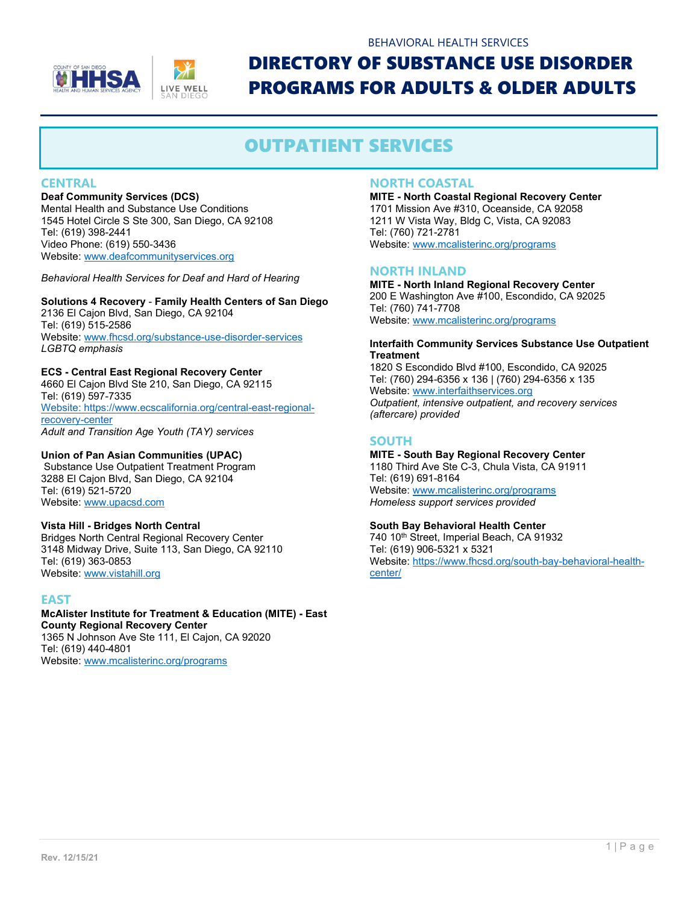



### BEHAVIORAL HEALTH SERVICES

## DIRECTORY OF SUBSTANCE USE DISORDER PROGRAMS FOR ADULTS & OLDER ADULTS

### OUTPATIENT SERVICES

#### **CENTRAL**

#### **Deaf Community Services (DCS)**

Mental Health and Substance Use Conditions 1545 Hotel Circle S Ste 300, San Diego, CA 92108 Tel: (619) 398-2441 Video Phone: (619) 550-3436 Website[: www.deafcommunityservices.org](http://www.deafcommunityservices.org/)

*Behavioral Health Services for Deaf and Hard of Hearing*

#### **Solutions 4 Recovery** - **Family Health Centers of San Diego**

2136 El Cajon Blvd, San Diego, CA 92104 Tel: (619) 515-2586 Website[: www.fhcsd.org/substance-use-disorder-services](http://www.fhcsd.org/substance-use-disorder-services) *LGBTQ emphasis*

#### **ECS - Central East Regional Recovery Center**

4660 El Cajon Blvd Ste 210, San Diego, CA 92115 Tel: (619) 597-7335 [Website: https://www.ecscalifornia.org/central-east-regional](website:%20https://www.ecscalifornia.org/central-east-regional-recovery-center)[recovery-center](website:%20https://www.ecscalifornia.org/central-east-regional-recovery-center)  *Adult and Transition Age Youth (TAY) services*

#### **Union of Pan Asian Communities (UPAC)**

Substance Use Outpatient Treatment Program 3288 El Cajon Blvd, San Diego, CA 92104 Tel: (619) 521-5720 Website[: www.upacsd.com](http://www.upacsd.com/)

#### **Vista Hill - Bridges North Central**

Bridges North Central Regional Recovery Center 3148 Midway Drive, Suite 113, San Diego, CA 92110 Tel: (619) 363-0853 Website[: www.vistahill.org](http://www.vistahill.org/)

#### **EAST**

#### **McAlister Institute for Treatment & Education (MITE) - East County Regional Recovery Center** 1365 N Johnson Ave Ste 111, El Cajon, CA 92020 Tel: (619) 440-4801

Website[: www.mcalisterinc.org/programs](http://www.mcalisterinc.org/programs)

#### **NORTH COASTAL**

**MITE - North Coastal Regional Recovery Center** 1701 Mission Ave #310, Oceanside, CA 92058 1211 W Vista Way, Bldg C, Vista, CA 92083 Tel: (760) 721-2781 Website[: www.mcalisterinc.org/programs](http://www.mcalisterinc.org/programs)

#### **NORTH INLAND**

**MITE - North Inland Regional Recovery Center** 200 E Washington Ave #100, Escondido, CA 92025 Tel: (760) 741-7708 Website[: www.mcalisterinc.org/programs](http://www.mcalisterinc.org/programs)

#### **Interfaith Community Services Substance Use Outpatient Treatment**

1820 S Escondido Blvd #100, Escondido, CA 92025 Tel: (760) 294-6356 x 136 | (760) 294-6356 x 135 Website[: www.interfaithservices.org](http://www.interfaithservices.org/) *Outpatient, intensive outpatient, and recovery services (aftercare) provided*

#### **SOUTH**

**MITE - South Bay Regional Recovery Center** 1180 Third Ave Ste C-3, Chula Vista, CA 91911 Tel: (619) 691-8164 Website[: www.mcalisterinc.org/programs](http://www.mcalisterinc.org/programs) *Homeless support services provided*

#### **South Bay Behavioral Health Center**

740 10th Street, Imperial Beach, CA 91932 Tel: (619) 906-5321 x 5321 Website[: https://www.fhcsd.org/south-bay-behavioral-health](https://www.fhcsd.org/south-bay-behavioral-health-center/)[center/](https://www.fhcsd.org/south-bay-behavioral-health-center/)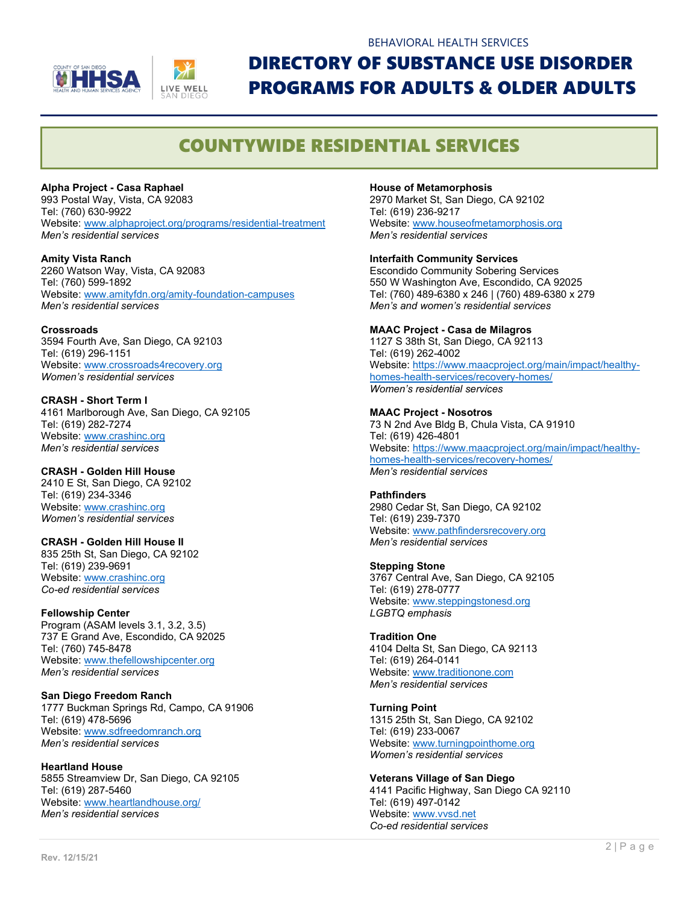



# DIRECTORY OF SUBSTANCE USE DISORDER PROGRAMS FOR ADULTS & OLDER ADULTS

BEHAVIORAL HEALTH SERVICES

### COUNTYWIDE RESIDENTIAL SERVICES

**Alpha Project - Casa Raphael** 

993 Postal Way, Vista, CA 92083 Tel: (760) 630-9922 Website[: www.alphaproject.org/programs/residential-treatment](http://www.alphaproject.org/programs/residential-treatment) *Men's residential services*

**Amity Vista Ranch**  2260 Watson Way, Vista, CA 92083 Tel: (760) 599-1892 Website[: www.amityfdn.org/amity-foundation-campuses](http://www.amityfdn.org/amity-foundation-campuses) *Men's residential services*

**Crossroads**  3594 Fourth Ave, San Diego, CA 92103 Tel: (619) 296-1151 Website[: www.crossroads4recovery.org](http://www.crossroads4recovery.org/) *Women's residential services*

#### **CRASH - Short Term I**  4161 Marlborough Ave, San Diego, CA 92105 Tel: (619) 282-7274 Website[: www.crashinc.org](http://www.crashinc.org/) *Men's residential services*

**CRASH - Golden Hill House** 2410 E St, San Diego, CA 92102 Tel: (619) 234-3346 Website[: www.crashinc.org](http://www.crashinc.org/) *Women's residential services*

**CRASH - Golden Hill House II**  835 25th St, San Diego, CA 92102 Tel: (619) 239-9691 Website[: www.crashinc.org](http://www.crashinc.org/) *Co-ed residential services*

**Fellowship Center**  Program (ASAM levels 3.1, 3.2, 3.5) 737 E Grand Ave, Escondido, CA 92025 Tel: (760) 745-8478 Website[: www.thefellowshipcenter.org](http://www.thefellowshipcenter.org/) *Men's residential services*

**San Diego Freedom Ranch**  1777 Buckman Springs Rd, Campo, CA 91906 Tel: (619) 478-5696 Website[: www.sdfreedomranch.org](http://www.sdfreedomranch.org/) *Men's residential services*

**Heartland House** 5855 Streamview Dr, San Diego, CA 92105 Tel: (619) 287-5460 Website[: www.heartlandhouse.org/](http://www.heartlandhouse.org/) *Men's residential services* 

**House of Metamorphosis**

2970 Market St, San Diego, CA 92102 Tel: (619) 236-9217 Website[: www.houseofmetamorphosis.org](http://www.houseofmetamorphosis.org/) *Men's residential services*

#### **Interfaith Community Services**

Escondido Community Sobering Services 550 W Washington Ave, Escondido, CA 92025 Tel: (760) 489-6380 x 246 | (760) 489-6380 x 279 *Men's and women's residential services* 

#### **MAAC Project - Casa de Milagros**

1127 S 38th St, San Diego, CA 92113 Tel: (619) 262-4002 Website[: https://www.maacproject.org/main/impact/healthy](https://www.maacproject.org/main/impact/healthy-homes-health-services/recovery-homes/)[homes-health-services/recovery-homes/](https://www.maacproject.org/main/impact/healthy-homes-health-services/recovery-homes/) *Women's residential services*

**MAAC Project - Nosotros**  73 N 2nd Ave Bldg B, Chula Vista, CA 91910 Tel: (619) 426-4801 Website[: https://www.maacproject.org/main/impact/healthy](https://www.maacproject.org/main/impact/healthy-homes-health-services/recovery-homes/)[homes-health-services/recovery-homes/](https://www.maacproject.org/main/impact/healthy-homes-health-services/recovery-homes/) *Men's residential services*

#### **Pathfinders**

2980 Cedar St, San Diego, CA 92102 Tel: (619) 239-7370 Website[: www.pathfindersrecovery.org](http://www.pathfindersrecovery.org/) *Men's residential services*

#### **Stepping Stone**

3767 Central Ave, San Diego, CA 92105 Tel: (619) 278-0777 Website[: www.steppingstonesd.org](http://www.steppingstonesd.org/) *LGBTQ emphasis*

**Tradition One**  4104 Delta St, San Diego, CA 92113

Tel: (619) 264-0141 Website[: www.traditionone.com](http://www.traditionone.com/) *Men's residential services* 

#### **Turning Point**

1315 25th St, San Diego, CA 92102 Tel: (619) 233-0067 Website[: www.turningpointhome.org](http://www.turningpointhome.org/) *Women's residential services* 

**Veterans Village of San Diego** 4141 Pacific Highway, San Diego CA 92110 Tel: (619) 497-0142 Website[: www.vvsd.net](http://www.vvsd.net/) *Co-ed residential services*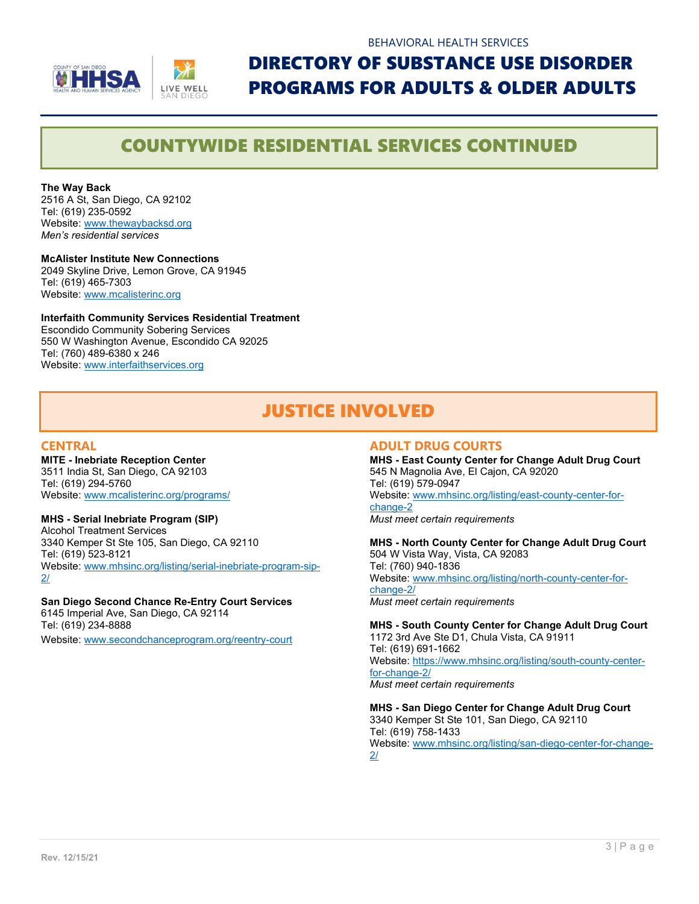

## DIRECTORY OF SUBSTANCE USE DISORDER PROGRAMS FOR ADULTS & OLDER ADULTS

### COUNTYWIDE RESIDENTIAL SERVICES CONTINUED

**The Way Back** 2516 A St, San Diego, CA 92102 Tel: (619) 235-0592 Website[: www.thewaybacksd.org](http://www.thewaybacksd.org/) *Men's residential services*

**McAlister Institute New Connections** 2049 Skyline Drive, Lemon Grove, CA 91945 Tel: (619) 465-7303 Website[: www.mcalisterinc.org](http://www.mcalisterinc.org/)

**Interfaith Community Services Residential Treatment** Escondido Community Sobering Services 550 W Washington Avenue, Escondido CA 92025 Tel: (760) 489-6380 x 246 Website[: www.interfaithservices.org](http://www.interfaithservices.org/)

## JUSTICE INVOLVED

#### **CENTRAL**

**MITE - Inebriate Reception Center** 3511 India St, San Diego, CA 92103 Tel: (619) 294-5760 Website[: www.mcalisterinc.org/programs/](http://www.mcalisterinc.org/programs/)

#### **MHS - Serial Inebriate Program (SIP)**

Alcohol Treatment Services 3340 Kemper St Ste 105, San Diego, CA 92110 Tel: (619) 523-8121 Website[: www.mhsinc.org/listing/serial-inebriate-program-sip-](http://www.mhsinc.org/listing/serial-inebriate-program-sip-2/) $2/$ 

#### **San Diego Second Chance Re-Entry Court Services**

6145 Imperial Ave, San Diego, CA 92114 Tel: (619) 234-8888 Website[: www.secondchanceprogram.org/reentry-court](http://www.secondchanceprogram.org/reentry-court)

#### **ADULT DRUG COURTS**

**MHS - East County Center for Change Adult Drug Court** 545 N Magnolia Ave, El Cajon, CA 92020 Tel: (619) 579-0947 Website[: www.mhsinc.org/listing/east-county-center-for](http://www.mhsinc.org/listing/east-county-center-for-change-2)[change-2](http://www.mhsinc.org/listing/east-county-center-for-change-2) *Must meet certain requirements*

**MHS - North County Center for Change Adult Drug Court** 504 W Vista Way, Vista, CA 92083 Tel: (760) 940-1836 Website[: www.mhsinc.org/listing/north-county-center-for](http://www.mhsinc.org/listing/north-county-center-for-change-2/)[change-2/](http://www.mhsinc.org/listing/north-county-center-for-change-2/) *Must meet certain requirements*

**MHS - South County Center for Change Adult Drug Court** 1172 3rd Ave Ste D1, Chula Vista, CA 91911 Tel: (619) 691-1662 Website[: https://www.mhsinc.org/listing/south-county-center](https://www.mhsinc.org/listing/south-county-center-for-change-2/)[for-change-2/](https://www.mhsinc.org/listing/south-county-center-for-change-2/)

*Must meet certain requirements*

**MHS - San Diego Center for Change Adult Drug Court** 3340 Kemper St Ste 101, San Diego, CA 92110 Tel: (619) 758-1433 Website[: www.mhsinc.org/listing/san-diego-center-for-change-](http://www.mhsinc.org/listing/san-diego-center-for-change-2/)[2/](http://www.mhsinc.org/listing/san-diego-center-for-change-2/)